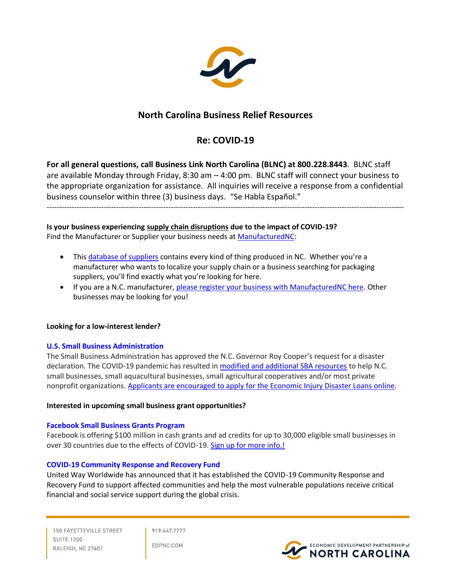

# **North Carolina Business Relief Resources**

## **Re: COVID-19**

**For all general questions, call Business Link North Carolina (BLNC) at 800.228.8443**. BLNC staff are available Monday through Friday, 8:30 am – 4:00 pm. BLNC staff will connect your business to the appropriate organization for assistance. All inquiries will receive a response from a confidential business counselor within three (3) business days. "Se Habla Español."

------------------------------------------------------------------------------------------------------------------------------------------------

**Is your business experiencing supply chain disruptions due to the impact of COVID-19?**

Find the Manufacturer or Supplier your business needs at **ManufacturedNC**:

- This [database of suppliers](https://www.manufacturednc.com/) contains every kind of thing produced in NC. Whether you're a manufacturer who wants to localize your supply chain or a business searching for packaging suppliers, you'll find exactly what you're looking for here.
- If you are a N.C. manufacturer, [please register your business with ManufacturedNC here.](https://www.manufacturednc.com/enroll) Other businesses may be looking for you!

## **Looking for a low-interest lender?**

## **[U.S. Small Business Administration](https://disasterloan.sba.gov/ela/Account/Login?ReturnUrl=%2Fela%2FLoanApplication%2FStartApplication)**

The Small Business Administration has approved the N.C. Governor Roy Cooper's request for a disaster declaration. The COVID-19 pandemic has resulted i[n modified and additional SBA resources](https://www.sba.gov/page/coronavirus-covid-19-small-business-guidance-loan-resources) to help N.C. small businesses, small aquacultural businesses, small agricultural cooperatives and/or most private nonprofit organizations. [Applicants are encouraged to apply for the Economic Injury Disaster Loans online.](https://disasterloan.sba.gov/ela/Account/Login?ReturnUrl=%2Fela%2FLoanApplication%2FStartApplication)

## **Interested in upcoming small business grant opportunities?**

## **[Facebook Small Business Grants Program](http://r20.rs6.net/tn.jsp?f=001zhHqxmyY6kKFUKRkks-A-UYji6JPNrcxlkl2SZEftf6sI4RJqigtE-cOrtoYJDFLFViPV6mRgu7Ulo15q0ewr49sBNiWrGcy4X-QCWtPksynbXprz1YTfKW9-Q6Vhkgv_WfYU_Ouj6YinZ_h6jW-AtCcskRou-SVgRsSuTQEHvOU-k4EtO0SF2X8Z0h7VMAl2Br82qHXwdI1j0fhY4XYGSoT84LgcUSX&c=rpyzjOkQK_O0fTIgSRlFvryzYP5sq2uR1A0b7vkFR-_mTPjkH5fIpA==&ch=zxx9fM7aELH0mps89jxu5VS8HBsGouUPBP521jyweMV-mpskNT-uYw==)**

Facebook is offering \$100 million in cash grants and ad credits for up to 30,000 eligible small businesses in over 30 countries due to the effects of COVID-19. [Sign up for more info.!](https://www.facebook.com/business/boost/grants?ref=eml)

## **[COVID-19 Community Response and Recovery Fund](https://www.unitedway.org/recovery/covid19?utm_source=press&utm_medium=web&utm_campaign=covid19&utm_content=learnmore)**

United Way Worldwide has announced that it has established the COVID-19 Community Response and Recovery Fund to support affected communities and help the most vulnerable populations receive critical financial and social service support during the global crisis.

**150 FAYETTEVILLE STREET SUITE 1200** RALEIGH, NC 27601

919.447.7777

EDPNC.COM